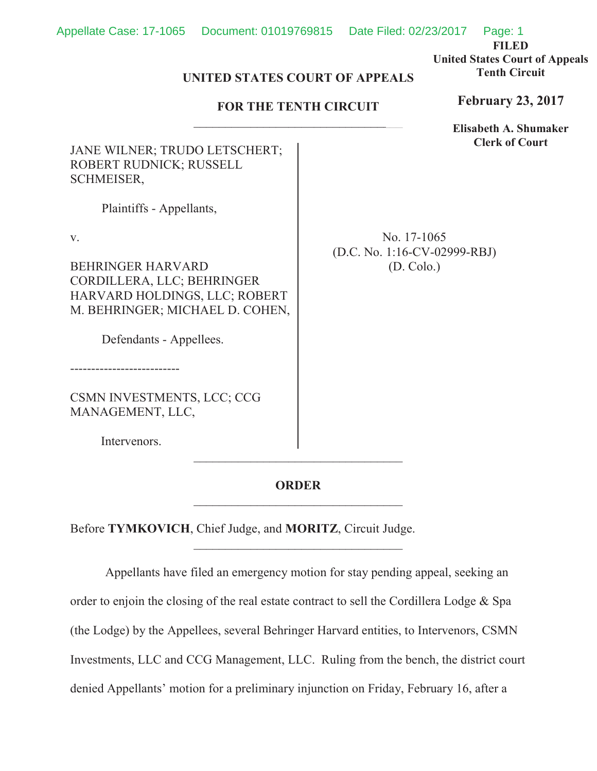**FILED**

**United States Court of Appeals Tenth Circuit**

## UNITED STATES COURT OF APPEALS<br> **FOR THE TENTH CIRCUIT**

## **FOR THE TENTH CIRCUIT**

**Elisabeth A. Shumaker Clerk of Court**

**February 23, 2017**

JANE WILNER; TRUDO LETSCHERT; ROBERT RUDNICK; RUSSELL SCHMEISER,

Plaintiffs - Appellants,

v.

BEHRINGER HARVARD CORDILLERA, LLC; BEHRINGER HARVARD HOLDINGS, LLC; ROBERT M. BEHRINGER; MICHAEL D. COHEN,

Defendants - Appellees.

--------------------------

CSMN INVESTMENTS, LCC; CCG MANAGEMENT, LLC,

Intervenors.

No. 17-1065 (D.C. No. 1:16-CV-02999-RBJ) (D. Colo.)

## **ORDER**

 $\mathcal{L}_\text{max}$ 

Before **TYMKOVICH**, Chief Judge, and **MORITZ**, Circuit Judge.

Appellants have filed an emergency motion for stay pending appeal, seeking an order to enjoin the closing of the real estate contract to sell the Cordillera Lodge & Spa (the Lodge) by the Appellees, several Behringer Harvard entities, to Intervenors, CSMN Investments, LLC and CCG Management, LLC. Ruling from the bench, the district court denied Appellants' motion for a preliminary injunction on Friday, February 16, after a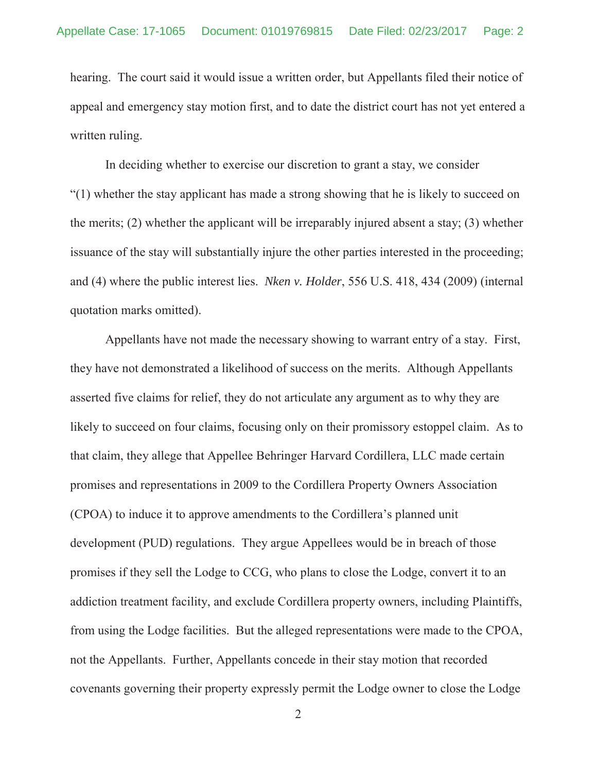hearing. The court said it would issue a written order, but Appellants filed their notice of appeal and emergency stay motion first, and to date the district court has not yet entered a written ruling.

In deciding whether to exercise our discretion to grant a stay, we consider "(1) whether the stay applicant has made a strong showing that he is likely to succeed on the merits; (2) whether the applicant will be irreparably injured absent a stay; (3) whether issuance of the stay will substantially injure the other parties interested in the proceeding; and (4) where the public interest lies. *Nken v. Holder*, 556 U.S. 418, 434 (2009) (internal quotation marks omitted).

Appellants have not made the necessary showing to warrant entry of a stay. First, they have not demonstrated a likelihood of success on the merits. Although Appellants asserted five claims for relief, they do not articulate any argument as to why they are likely to succeed on four claims, focusing only on their promissory estoppel claim. As to that claim, they allege that Appellee Behringer Harvard Cordillera, LLC made certain promises and representations in 2009 to the Cordillera Property Owners Association (CPOA) to induce it to approve amendments to the Cordillera's planned unit development (PUD) regulations. They argue Appellees would be in breach of those promises if they sell the Lodge to CCG, who plans to close the Lodge, convert it to an addiction treatment facility, and exclude Cordillera property owners, including Plaintiffs, from using the Lodge facilities. But the alleged representations were made to the CPOA, not the Appellants. Further, Appellants concede in their stay motion that recorded covenants governing their property expressly permit the Lodge owner to close the Lodge

2